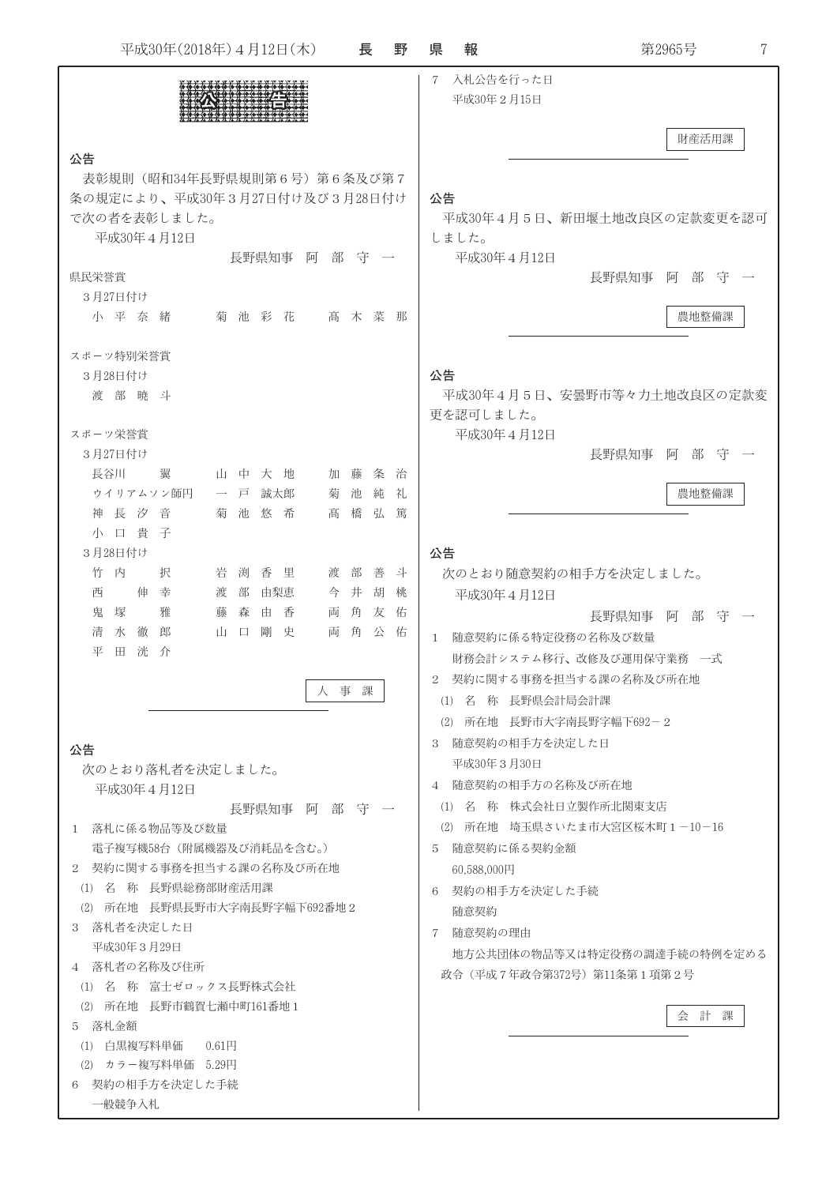| 平成30年(2018年) 4月12日(木)                                                         | 長      | 野      | 報<br>県                 | 第2965号<br>7                        |
|-------------------------------------------------------------------------------|--------|--------|------------------------|------------------------------------|
|                                                                               |        |        | $7^{\circ}$            | 入札公告を行った日<br>平成30年2月15日            |
| 公告                                                                            |        |        |                        | 財産活用課                              |
| 表彰規則 (昭和34年長野県規則第6号) 第6条及び第7                                                  |        |        |                        |                                    |
| 条の規定により、平成30年3月27日付け及び3月28日付け                                                 |        |        | 公告                     |                                    |
| で次の者を表彰しました。                                                                  |        |        |                        | 平成30年4月5日、新田堰土地改良区の定款変更を認可         |
| 平成30年4月12日<br>長野県知事 阿                                                         | 部守一    |        | しました。                  | 平成30年4月12日                         |
| 県民栄誉賞                                                                         |        |        |                        | 阿部守一<br>長野県知事                      |
| 3月27日付け                                                                       |        |        |                        |                                    |
| 小平奈緒<br>菊池彩花                                                                  | 高木菜那   |        |                        | 農地整備課                              |
| スポーツ特別栄誉賞                                                                     |        |        |                        |                                    |
| 3月28日付け                                                                       |        |        | 公告                     |                                    |
| 渡部暁斗                                                                          |        |        | 更を認可しました。              | 平成30年4月5日、安曇野市等々力土地改良区の定款変         |
| スポーツ栄誉賞                                                                       |        |        |                        | 平成30年4月12日                         |
| 3月27日付け                                                                       |        |        |                        | 長野県知事<br>部 守<br>$\vert \sin \vert$ |
| 長谷川<br>翼<br>山中大地<br>加 藤                                                       | 条      | 冶      |                        |                                    |
| ウイリアムソン師円<br>誠太郎<br>一戸<br>菊                                                   | 池<br>純 | 礼      |                        | 農地整備課                              |
| 神長汐音<br>菊 池<br>悠 希<br>髙                                                       | 橋<br>弘 | 篤      |                        |                                    |
| 小口貴子                                                                          |        |        |                        |                                    |
| 3月28日付け                                                                       |        |        | 公告                     |                                    |
| 内<br>岩<br>竹<br>択<br>渕<br>香<br>里<br>渡 部<br>伸<br>幸<br>渡<br>部<br>由梨恵<br>今 井<br>西 | 善<br>胡 | 斗<br>桃 |                        | 次のとおり随意契約の相手方を決定しました。              |
| 鬼<br>塚<br>雅<br>藤<br>森<br>由<br>香<br>両                                          | 角<br>友 | 佑      |                        | 平成30年4月12日<br>阿部守<br>長野県知事         |
| 剛<br>水<br>徹<br>郎<br>山<br>史<br>両<br>清<br>$\Box$                                | 公<br>角 | 佑      | $\mathbf{1}$           | 随意契約に係る特定役務の名称及び数量                 |
| 平<br>田<br>洸<br>介                                                              |        |        |                        | 財務会計システム移行、改修及び運用保守業務 一式           |
|                                                                               |        |        |                        | 2 契約に関する事務を担当する課の名称及び所在地           |
| 人事課                                                                           |        |        |                        | (1) 名 称 長野県会計局会計課                  |
|                                                                               |        |        |                        | (2) 所在地 長野市大字南長野字幅下692-2           |
| 公告                                                                            |        |        |                        | 3 随意契約の相手方を決定した日                   |
| 次のとおり落札者を決定しました。                                                              |        |        |                        | 平成30年3月30日                         |
| 平成30年4月12日                                                                    |        |        |                        | 4 随意契約の相手方の名称及び所在地                 |
| 長野県知事の阿部部(守) 一                                                                |        |        |                        | (1) 名 称 株式会社日立製作所北関東支店             |
| 1 落札に係る物品等及び数量                                                                |        |        |                        | (2) 所在地 埼玉県さいたま市大宮区桜木町1-10-16      |
| 電子複写機58台 (附属機器及び消耗品を含む。)                                                      |        |        |                        | 5 随意契約に係る契約金額                      |
| 2 契約に関する事務を担当する課の名称及び所在地                                                      |        |        | 60,588,000円            |                                    |
| (1) 名 称 長野県総務部財産活用課                                                           |        |        |                        | 6 契約の相手方を決定した手続                    |
| (2) 所在地 長野県長野市大字南長野字幅下692番地2<br>3 落札者を決定した日                                   |        |        | 随意契約                   |                                    |
| 平成30年3月29日                                                                    |        |        | 随意契約の理由<br>$7^{\circ}$ |                                    |
| 4 落札者の名称及び住所                                                                  |        |        |                        | 地方公共団体の物品等又は特定役務の調達手続の特例を定める       |
| (1) 名 称 富士ゼロックス長野株式会社                                                         |        |        |                        | 政令(平成7年政令第372号)第11条第1項第2号          |
| (2) 所在地 長野市鶴賀七瀬中町161番地1                                                       |        |        |                        | 会計課                                |
| 5 落札金額                                                                        |        |        |                        |                                    |
| (1) 白黒複写料単価<br>0.61H                                                          |        |        |                        |                                    |
| (2) カラー複写料単価 5.29円                                                            |        |        |                        |                                    |
| 6 契約の相手方を決定した手続<br>一般競争入札                                                     |        |        |                        |                                    |
|                                                                               |        |        |                        |                                    |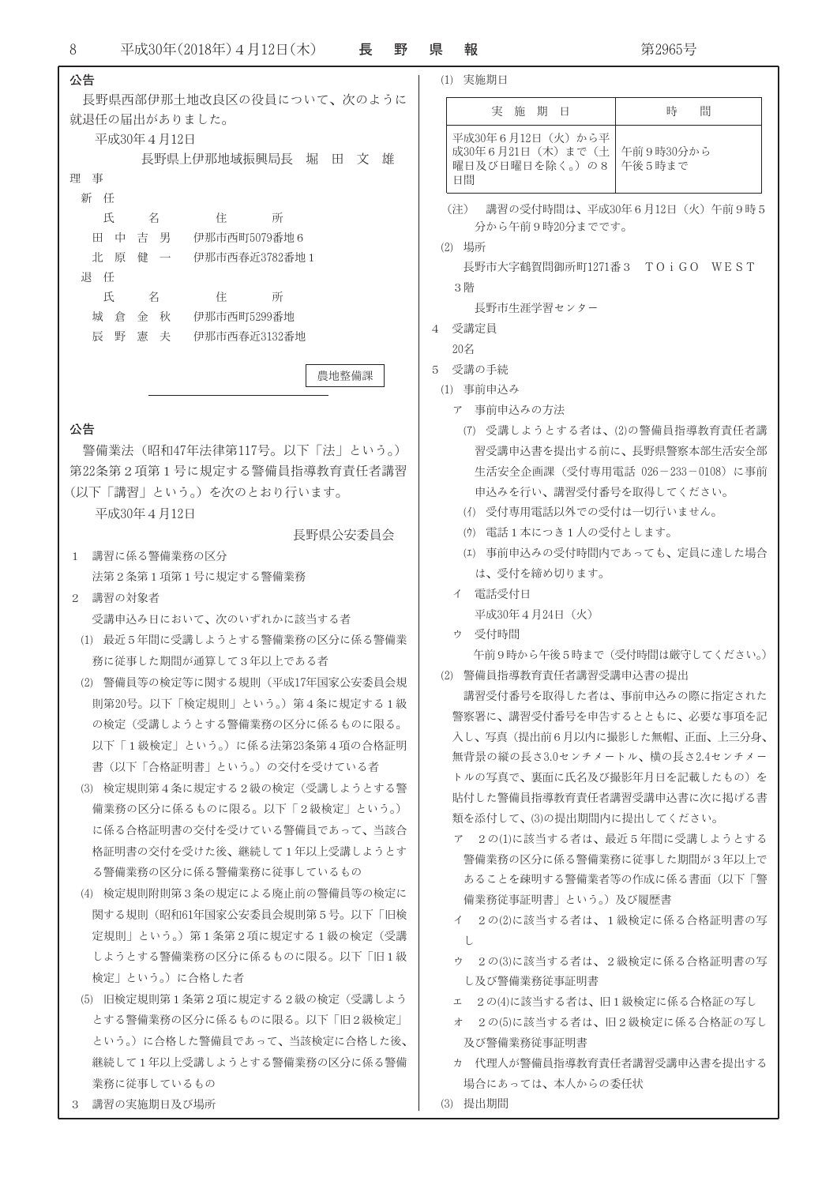$\, 8$ 平成30年(2018年)4月12日(木) 長野 県

| 公告                                                        | (1) 実施期日                    |  |  |
|-----------------------------------------------------------|-----------------------------|--|--|
| 長野県西部伊那土地改良区の役員について、次のように                                 | 実                           |  |  |
| 就退任の届出がありました。                                             |                             |  |  |
| 平成30年4月12日                                                | 平成30年6月<br>成30年6月2          |  |  |
| 長野県上伊那地域振興局長<br>堀<br>$\boxplus$<br>文<br>雄<br>理<br>事       | 曜日及び日                       |  |  |
| 新 任                                                       | 日間                          |  |  |
| 氏<br>名<br>住<br>所                                          | (注)<br>講習の                  |  |  |
| 田<br>吉男<br>伊那市西町5079番地6<br>中                              | 分から4                        |  |  |
| 北<br>健<br>伊那市西春近3782番地 1<br>原<br>$\overline{\phantom{a}}$ | (2) 場所                      |  |  |
| 退<br>任                                                    | 長野市大                        |  |  |
| 氏<br>名<br>住<br>所                                          | 3階                          |  |  |
| 城<br>秋<br>伊那市西町5299番地<br>倉<br>金                           | 長野市生                        |  |  |
| 辰<br>野<br>憲<br>伊那市西春近3132番地<br>夫                          | 受講定員<br>4                   |  |  |
|                                                           | 20名<br>受講の手続<br>5           |  |  |
| 農地整備課                                                     | (1) 事前申込み                   |  |  |
|                                                           | 事前申<br>ア                    |  |  |
| 公告                                                        | 受講l<br>(7)                  |  |  |
| 警備業法(昭和47年法律第117号。以下「法」という。)                              | 習受講申                        |  |  |
| 第22条第2項第1号に規定する警備員指導教育責任者講習                               | 生活安                         |  |  |
| (以下「講習」という。) を次のとおり行います。                                  | 申込みを                        |  |  |
| 平成30年4月12日                                                | (イ) 受付車                     |  |  |
| 長野県公安委員会                                                  | 電話1<br>$(\mathcal{D})$      |  |  |
| 講習に係る警備業務の区分<br>1                                         | 事前<br>(I)                   |  |  |
| 法第2条第1項第1号に規定する警備業務                                       | は、受作                        |  |  |
| 講習の対象者<br>2                                               | 電話受付<br>イー                  |  |  |
| 受講申込み日において、次のいずれかに該当する者                                   | 平成30年                       |  |  |
| (1) 最近5年間に受講しようとする警備業務の区分に係る警備業                           | 受付時間<br>ゥ                   |  |  |
| 務に従事した期間が通算して3年以上である者                                     | 午前9時                        |  |  |
| 警備員等の検定等に関する規則(平成17年国家公安委員会規<br>(2)                       | (2) 警備員指導                   |  |  |
| 則第20号。以下「検定規則」という。)第4条に規定する1級                             | 講習受付者                       |  |  |
| の検定(受講しようとする警備業務の区分に係るものに限る。                              | 警察署に、請                      |  |  |
| 以下「1級検定」という。)に係る法第23条第4項の合格証明                             | 入し、写真                       |  |  |
| 書(以下「合格証明書」という。)の交付を受けている者                                | 無背景の縦の                      |  |  |
| (3) 検定規則第4条に規定する2級の検定(受講しようとする警                           | トルの写真で                      |  |  |
| 備業務の区分に係るものに限る。以下「2級検定」という。)                              | 貼付した警備                      |  |  |
| 類を添付して<br>に係る合格証明書の交付を受けている警備員であって、当該合<br>ア               |                             |  |  |
| 格証明書の交付を受けた後、継続して1年以上受講しようとす                              | $2 \mathcal{O}(1)$<br>警備業務の |  |  |
| る警備業務の区分に係る警備業務に従事しているもの                                  | あることる                       |  |  |
| (4) 検定規則附則第3条の規定による廃止前の警備員等の検定に                           | 備業務従昌                       |  |  |
| 関する規則(昭和61年国家公安委員会規則第5号。以下「旧検                             | イー<br>$2 \mathcal{O}(2)$    |  |  |
| 定規則」という。)第1条第2項に規定する1級の検定(受講<br>U                         |                             |  |  |
| しようとする警備業務の区分に係るものに限る。以下「旧1級                              | $2 \mathcal{O}(3)$<br>ウー    |  |  |
| 検定」という。)に合格した者                                            | し及び警備                       |  |  |
| (5) 旧検定規則第1条第2項に規定する2級の検定(受講しよう                           | 2 $\mathcal{O}(4)$<br>エ     |  |  |
| とする警備業務の区分に係るものに限る。以下「旧2級検定」                              | $2 \mathcal{O}(5)$<br>才     |  |  |
| という。)に合格した警備員であって、当該検定に合格した後、                             | 及び警備                        |  |  |
| 継続して1年以上受講しようとする警備業務の区分に係る警備                              | 代理人が<br>力                   |  |  |
| 業務に従事しているもの                                               | 場合にあっ                       |  |  |

3 講習の実施期日及び場所

| 報      |                                                        | 第2965号                          |
|--------|--------------------------------------------------------|---------------------------------|
|        | (1) 実施期日                                               |                                 |
|        | 実<br>施<br>期日                                           | 時<br>間                          |
| 日間     | 平成30年6月12日(火)から平<br>成30年6月21日(木)まで(土<br>曜日及び日曜日を除く。)の8 | 午前9時30分から<br>午後5時まで             |
| (注)    | 分から午前9時20分までです。                                        | 講習の受付時間は、平成30年6月12日(火)午前9時5     |
| (2) 場所 |                                                        |                                 |
|        |                                                        | 長野市大字鶴賀問御所町1271番3 TOiGO WEST    |
| 3階     |                                                        |                                 |
|        | 長野市牛涯学習センター                                            |                                 |
|        | 受講定員                                                   |                                 |
| 20名    |                                                        |                                 |
|        | 受講の手続                                                  |                                 |
|        | (1) 事前申込み                                              |                                 |
|        | ア 事前申込みの方法                                             |                                 |
|        |                                                        | (7) 受講しようとする者は、(2)の警備員指導教育責任者講  |
|        |                                                        | 習受講申込書を提出する前に、長野県警察本部生活安全部      |
|        |                                                        | 生活安全企画課(受付専用電話 026-233-0108)に事前 |
|        | 申込みを行い、講習受付番号を取得してください。                                |                                 |
|        | (イ) 受付専用電話以外での受付は一切行いません。                              |                                 |
|        | (ウ) 電話1本につき1人の受付とします。                                  |                                 |
|        |                                                        | (エ) 事前申込みの受付時間内であっても、定員に達した場合   |
|        | は、受付を締め切ります。                                           |                                 |
| 亻      | 電話受付日                                                  |                                 |
|        | 平成30年4月24日(火)                                          |                                 |
| ゥ      | 受付時間                                                   |                                 |
|        |                                                        | 午前9時から午後5時まで(受付時間は厳守してください。)    |
| (2)    | 警備員指導教育責任者講習受講申込書の提出                                   |                                 |
|        |                                                        | 講習受付番号を取得した者は、事前申込みの際に指定された     |
|        |                                                        | 警察署に、講習受付番号を申告するとともに、必要な事項を記    |
|        |                                                        | 入し、写真(提出前6月以内に撮影した無帽、正面、上三分身、   |
|        |                                                        | 無背景の縦の長さ3.0センチメートル、横の長さ2.4センチメー |
|        |                                                        | トルの写真で、裏面に氏名及び撮影年月日を記載したもの)を    |
|        |                                                        | 貼付した警備員指導教育責任者講習受講申込書に次に掲げる書    |
|        | 類を添付して、⑶の提出期間内に提出してください。                               |                                 |
| ア      |                                                        | 2の(1)に該当する者は、最近5年間に受講しようとする     |
|        |                                                        | 警備業務の区分に係る警備業務に従事した期間が3年以上で     |
|        |                                                        | あることを疎明する警備業者等の作成に係る書面(以下「警     |
|        | 備業務従事証明書」という。)及び履歴書                                    |                                 |
|        |                                                        | イ 2の(2)に該当する者は、1級検定に係る合格証明書の写   |
| U      |                                                        |                                 |

- に該当する者は、2級検定に係る合格証明書の写 <sub>.</sub><br>蒲業務従事証明書
- に該当する者は、旧1級検定に係る合格証の写し
- に該当する者は、旧2級検定に係る合格証の写し 業務従事証明書
- <sup>が警備員指導教育責任者講習受講申込書を提出する</sup> 場合にあっては、本人からの委任状
- (3) 提出期間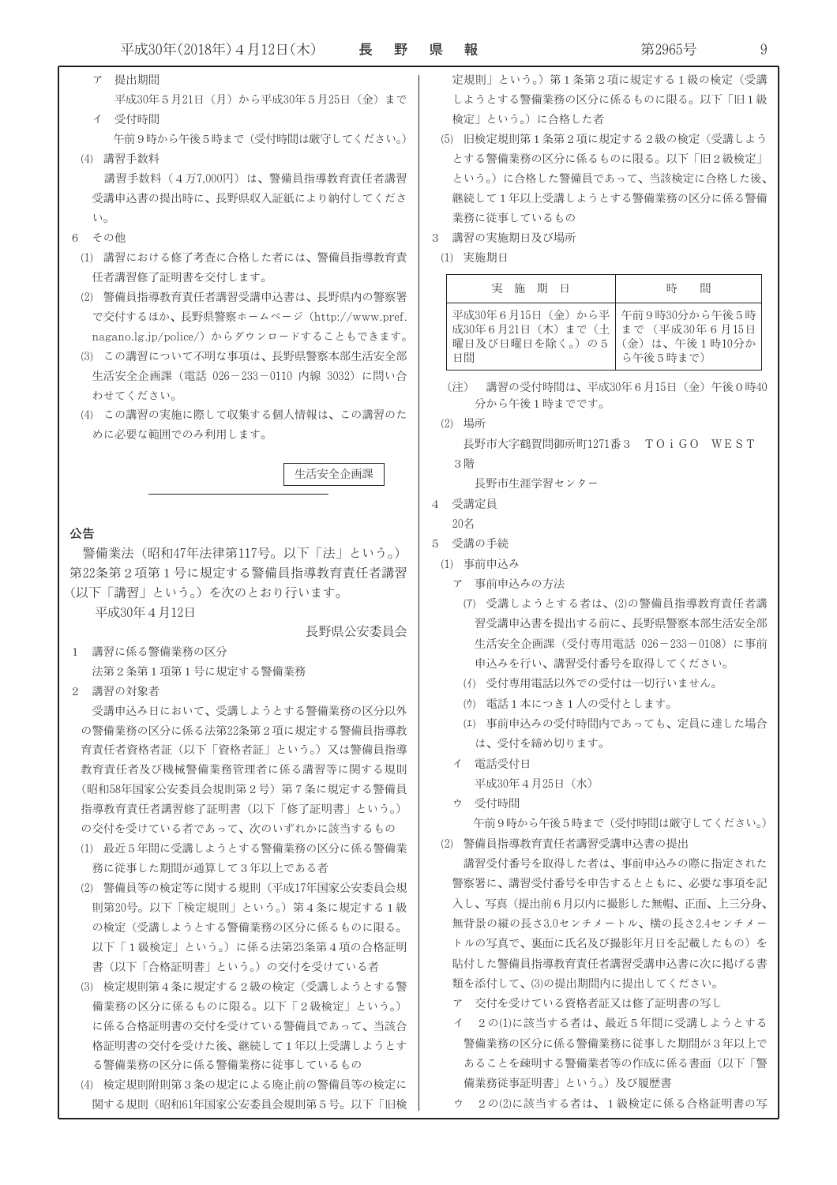- ア 提出期間 平成30年5月21日 (月) から平成30年5月25日 (金) まで イ 受付時間 検定」という。)に合格した者 午前9時から午後5時まで(受付時間は厳守してください。) (4) 講習手数料 講習手数料 (4万7,000円) は、警備員指導教育責任者講習 受講申込書の提出時に、長野県収入証紙により納付してくださ 業務に従事しているもの  $\mathbf{U}$ 6 その他 3 講習の実施期日及び場所 (1) 講習における修了考査に合格した者には、警備目指導教育青 (1) 実施期日 任者講習修了証明書を交付します。 (2) 警備員指導教育責任者講習受講申込書は、長野県内の警察署 で交付するほか、長野県警察ホームページ (http://www.pref. nagano.lg.ip/police/) からダウンロードすることもできます。 (3) この講習について不明な事項は、長野県警察本部生活安全部 生活安全企画課 (電話 026-233-0110 内線 3032) に問い合 (注) 講習の受付時間は、平成30年6月15日 (金) 午後0時40 わせてください。 分から午後1時までです。 (4) この講習の実施に際して収集する個人情報は、この講習のた (2) 場所 めに必要な範囲でのみ利用します。 長野市大字鶴賀問御所町1271番3 TOiGO WEST 3 階 生活安全企画課 長野市生涯学習センター 4 受講定員  $20Z$ 公告 5 受講の手続 警備業法 (昭和47年法律第117号。以下「法」という。) (1) 事前申込み 第22条第2項第1号に規定する警備員指導教育責任者講習 ア 事前申込みの方法 (以下「講習」という。)を次のとおり行います。 平成30年4月12日 長野県公安委員会 1 講習に係る警備業務の区分 申込みを行い、講習受付番号を取得してください。 法第2条第1項第1号に規定する警備業務 (イ) 受付専用電話以外での受付は一切行いません。 2 講習の対象者 (ウ) 雷話1本につき1人の受付とします。 受講申込み日において、受講しようとする警備業務の区分以外 の警備業務の区分に係る法第22条第2項に規定する警備員指導教 は、受付を締め切ります。 育青任者資格者証(以下「資格者証」という。)又は警備目指導 イ 電話受付日 教育責任者及び機械警備業務管理者に係る講習等に関する規則 平成30年4月25日 (水) (昭和58年国家公安委員会規則第2号)第7条に規定する警備員 ウ 受付時間 指導教育責任者講習修了証明書(以下「修了証明書」という。) の交付を受けている者であって、次のいずれかに該当するもの (2) 警備昌指道教育青仟者講習受講申込書の提出 (1) 最近5年間に受講しようとする警備業務の区分に係る警備業 務に従事した期間が通算して3年以上である者 (2) 警備員等の検定等に関する規則 (平成17年国家公安委員会規 則第20号。以下「検定規則」という。)第4条に規定する1級 の検定(受講しようとする警備業務の区分に係るものに限る。 以下「1級検定」という。)に係る法第23条第4項の合格証明 書(以下「合格証明書」という。)の交付を受けている者 類を添付して、(3)の提出期間内に提出してください。 (3) 検定規則第4条に規定する2級の検定(受講しようとする警 ア 交付を受けている資格者証又は修了証明書の写し 備業務の区分に係るものに限る。以下「2級検定」という。) イ 2の(1)に該当する者は、最近5年間に受講しようとする に係る合格証明書の交付を受けている警備員であって、当該合 格証明書の交付を受けた後、継続して1年以上受講しようとす る警備業務の区分に係る警備業務に従事しているもの
	- (4) 検定規則附則第3条の規定による廃止前の警備員等の検定に 関する規則 (昭和61年国家公安委員会規則第5号。以下「旧検
- 定規則」という。)第1条第2項に規定する1級の検定(受講 しようとする警備業務の区分に係るものに限る。以下「旧1級
- (5) 旧検定規則第1条第2項に規定する2級の検定(受講しよう とする警備業務の区分に係るものに限る。以下「旧2級検定」 という。)に合格した警備員であって、当該検定に合格した後、 継続して1年以上受講しようとする警備業務の区分に係る警備

| 実 施                                                                                                    | 時        |
|--------------------------------------------------------------------------------------------------------|----------|
| 期日                                                                                                     | 間        |
| 平成30年6月15日(金)から平 午前9時30分から午後5時<br>成30年6月21日(木)まで(土 まで(平成30年6月15日<br>曜日及び日曜日を除く。)の5 (金)は、午後1時10分か<br>日間 | ら午後5時まで) |

- (7) 受講しようとする者は、(2)の警備員指導教育責任者講 習受講申込書を提出する前に、長野県警察本部生活安全部 生活安全企画課 (受付専用電話 026-233-0108) に事前
- (エ) 事前申込みの受付時間内であっても、定員に達した場合

午前9時から午後5時まで(受付時間は厳守してください。)

講習受付番号を取得した者は、事前申込みの際に指定された 警察署に、講習受付番号を申告するとともに、必要な事項を記 入し、写真(提出前6月以内に撮影した無帽、正面、上三分身、 無背景の縦の長さ3.0センチメートル、横の長さ2.4センチメー トルの写真で、裏面に氏名及び撮影年月日を記載したもの)を 貼付した警備員指導教育責任者講習受講申込書に次に掲げる書

- 警備業務の区分に係る警備業務に従事した期間が3年以上で あることを疎明する警備業者等の作成に係る書面(以下「警 備業務従事証明書」という。)及び履歴書
- ウ 2の(2)に該当する者は、1級検定に係る合格証明書の写

 $\mathsf{Q}$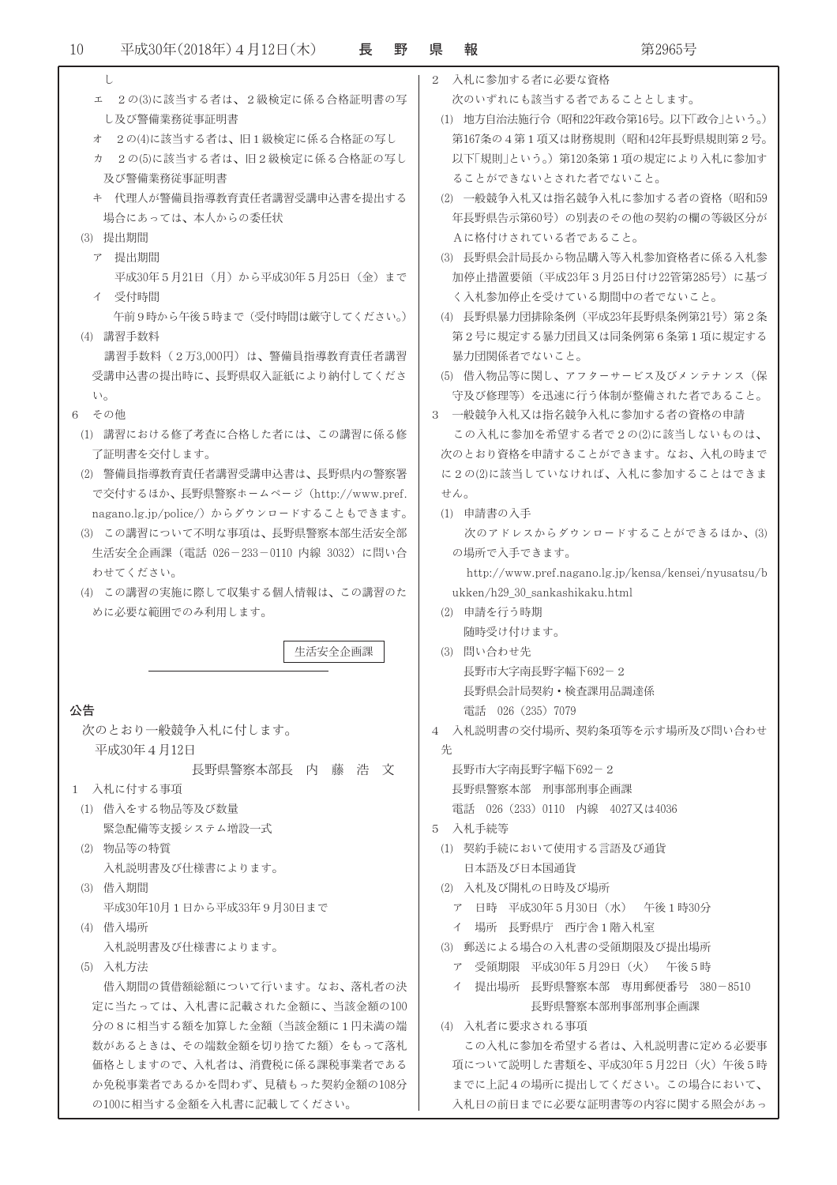| U                                        | 入札に参加する者に必要な資格<br>$\mathcal{D}_{\mathcal{L}}$        |
|------------------------------------------|------------------------------------------------------|
| ェ 2の(3)に該当する者は、2級検定に係る合格証明書の写            | 次のいずれにも該当する者であることとします。                               |
| し及び警備業務従事証明書                             | (1) 地方自治法施行令 (昭和22年政令第16号。以下「政令」という。)                |
| 2の(4)に該当する者は、旧1級検定に係る合格証の写し<br>才         | 第167条の4第1項又は財務規則(昭和42年長野県規則第2号。                      |
| 2の(5)に該当する者は、旧2級検定に係る合格証の写し<br>力         | 以下「規則」という。)第120条第1項の規定により入札に参加す                      |
| 及び警備業務従事証明書                              | ることができないとされた者でないこと。                                  |
| キ 代理人が警備員指導教育責任者講習受講申込書を提出する             | (2) 一般競争入札又は指名競争入札に参加する者の資格(昭和59                     |
| 場合にあっては、本人からの委任状                         | 年長野県告示第60号)の別表のその他の契約の欄の等級区分が                        |
| (3) 提出期間                                 | Aに格付けされている者であること。                                    |
| ア 提出期間                                   | (3) 長野県会計局長から物品購入等入札参加資格者に係る入札参                      |
| 平成30年5月21日(月)から平成30年5月25日(金)まで           | 加停止措置要領(平成23年3月25日付け22管第285号)に基づ                     |
|                                          |                                                      |
| イ 受付時間                                   | く入札参加停止を受けている期間中の者でないこと。                             |
| 午前9時から午後5時まで(受付時間は厳守してください。)             | (4) 長野県暴力団排除条例(平成23年長野県条例第21号)第2条                    |
| (4) 講習手数料                                | 第2号に規定する暴力団員又は同条例第6条第1項に規定する                         |
| 講習手数料(2万3,000円)は、警備員指導教育責任者講習            | 暴力団関係者でないこと。                                         |
| 受講申込書の提出時に、長野県収入証紙により納付してくださ             | (5) 借入物品等に関し、アフターサービス及びメンテナンス(保                      |
| $\mathcal{N}_{\mathcal{O}}$              | 守及び修理等)を迅速に行う体制が整備された者であること。                         |
| その他<br>6                                 | 3 一般競争入札又は指名競争入札に参加する者の資格の申請                         |
| (1) 講習における修了考査に合格した者には、この講習に係る修          | この入札に参加を希望する者で2の(2)に該当しないものは、                        |
| 了証明書を交付します。                              | 次のとおり資格を申請することができます。なお、入札の時まで                        |
| (2) 警備員指導教育責任者講習受講申込書は、長野県内の警察署          | に2の(2)に該当していなければ、入札に参加することはできま                       |
| で交付するほか、長野県警察ホームページ (http://www.pref.    | せん。                                                  |
| nagano.lg.jp/police/) からダウンロードすることもできます。 | (1) 申請書の入手                                           |
| (3) この講習について不明な事項は、長野県警察本部生活安全部          | 次のアドレスからダウンロードすることができるほか、(3)                         |
| 生活安全企画課(電話 026-233-0110 内線 3032)に問い合     | の場所で入手できます。                                          |
| わせてください。                                 | http://www.pref.nagano.lg.jp/kensa/kensei/nyusatsu/b |
| (4) この講習の実施に際して収集する個人情報は、この講習のた          | ukken/h29_30_sankashikaku.html                       |
| めに必要な範囲でのみ利用します。                         | (2) 申請を行う時期                                          |
|                                          | 随時受け付けます。                                            |
| 生活安全企画課                                  | (3) 問い合わせ先                                           |
|                                          | 長野市大字南長野字幅下692-2                                     |
|                                          | 長野県会計局契約・検査課用品調達係                                    |
| 公告                                       | 電話 026 (235) 7079                                    |
| 次のとおり一般競争入札に付します。                        | 4 入札説明書の交付場所、契約条項等を示す場所及び問い合わせ                       |
| 平成30年4月12日                               | 先                                                    |
| 長野県警察本部長 内 藤 浩 文                         | 長野市大字南長野字幅下692-2                                     |
| 1 入札に付する事項                               | 長野県警察本部 刑事部刑事企画課                                     |
| (1) 借入をする物品等及び数量                         | 電話 026 (233) 0110 内線 4027又は4036                      |
| 緊急配備等支援システム増設一式                          | 入札手続等<br>5.                                          |
| (2) 物品等の特質                               | (1) 契約手続において使用する言語及び通貨                               |
| 入札説明書及び仕様書によります。                         | 日本語及び日本国通貨                                           |
| (3) 借入期間                                 | (2) 入札及び開札の日時及び場所                                    |
| 平成30年10月1日から平成33年9月30日まで                 | ア 日時 平成30年5月30日(水) 午後1時30分                           |
| (4) 借入場所                                 | イ 場所 長野県庁 西庁舎 1 階入札室                                 |
| 入札説明書及び仕様書によります。                         | (3) 郵送による場合の入札書の受領期限及び提出場所                           |
| (5) 入札方法                                 | ア 受領期限 平成30年5月29日(火) 午後5時                            |
| 借入期間の賃借額総額について行います。なお、落札者の決              | イ 提出場所 長野県警察本部 専用郵便番号 380-8510                       |
|                                          |                                                      |
| 定に当たっては、入札書に記載された金額に、当該金額の100            | 長野県警察本部刑事部刑事企画課                                      |
| 分の8に相当する額を加算した金額(当該金額に1円未満の端             | (4) 入札者に要求される事項                                      |
| 数があるときは、その端数金額を切り捨てた額)をもって落札             | この入札に参加を希望する者は、入札説明書に定める必要事                          |
| 価格としますので、入札者は、消費税に係る課税事業者である             | 項について説明した書類を、平成30年5月22日 (火) 午後5時                     |
| か免税事業者であるかを問わず、見積もった契約金額の108分            | までに上記4の場所に提出してください。この場合において、                         |
| の100に相当する金額を入札書に記載してください。                | 入札日の前日までに必要な証明書等の内容に関する照会があっ                         |